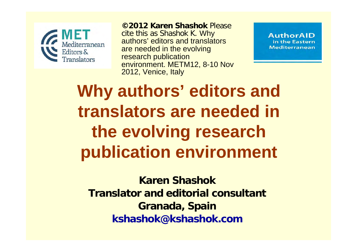

**©2012 Karen Shashok** Please

cite this as Shashok K. Why authors' editors and translators are needed in the evolving research publication environment. METM12, 8-10 Nov 2012, Venice, Italy

**AuthorAID** in the Eastern **Mediterranean** 

**Why authors' editors and translators are needed in the evolving research publication environment**

**Karen ShashokTranslator and editorial consultantGranada, Spain kshashok@kshashok.com**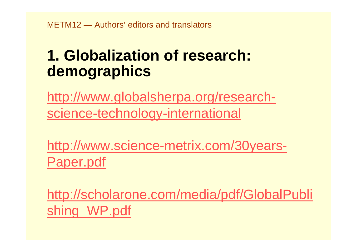## **1. Globalization of research: demographics**

[http://www.globalsherpa.org/research](http://www.globalsherpa.org/research-science-technology-international)[science-technology-international](http://www.globalsherpa.org/research-science-technology-international)

[http://www.science-metrix.com/30years-](http://www.science-metrix.com/30years-Paper.pdf)[Paper.pdf](http://www.science-metrix.com/30years-Paper.pdf)

[http://scholarone.com/media/pdf/GlobalPubli](http://scholarone.com/media/pdf/GlobalPublishing_WP.pdf)  [shing\\_WP.pdf](http://scholarone.com/media/pdf/GlobalPublishing_WP.pdf)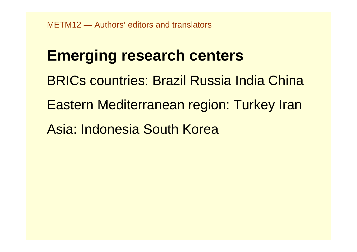## **Emerging research centers**

- BRICs countries: Brazil Russia India China
- Eastern Mediterranean region: Turkey Iran
- Asia: Indonesia South Korea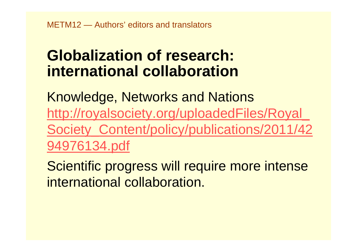## **Globalization of research: international collaboration**

Knowledge, Networks and Nations [http://royalsociety.org/uploadedFiles/Royal\\_](http://royalsociety.org/uploadedFiles/Royal_Society_Content/policy/publications/2011/4294976134.pdf)  [Society\\_Content/policy/publications/2011/42](http://royalsociety.org/uploadedFiles/Royal_Society_Content/policy/publications/2011/4294976134.pdf)  [94976134.pdf](http://royalsociety.org/uploadedFiles/Royal_Society_Content/policy/publications/2011/4294976134.pdf)

Scientific progress will require more intense international collaboration.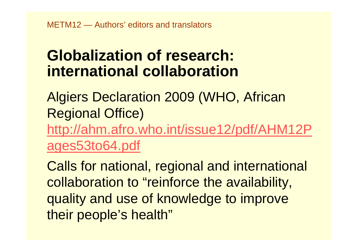### **Globalization of research: international collaboration**

Algiers Declaration 2009 (WHO, African Regional Office) [http://ahm.afro.who.int/issue12/pdf/AHM12P](http://ahm.afro.who.int/issue12/pdf/AHM12Pages53to64.pdf)  [ages53to64.pdf](http://ahm.afro.who.int/issue12/pdf/AHM12Pages53to64.pdf)

Calls for national, regional and international collaboration to "reinforce the availability, quality and use of knowledge to improve their people's health"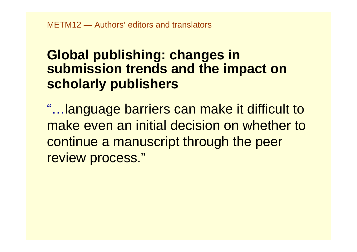### **Global publishing: changes in submission trends and the impact on scholarly publishers**

"…language barriers can make it difficult to make even an initial decision on whether to continue a manuscript through the peer review process."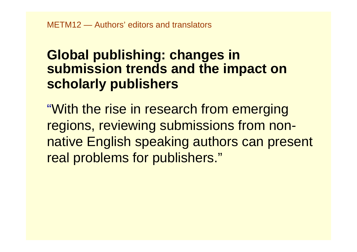### **Global publishing: changes in submission trends and the impact on scholarly publishers**

"With the rise in research from emerging regions, reviewing submissions from nonnative English speaking authors can present real problems for publishers."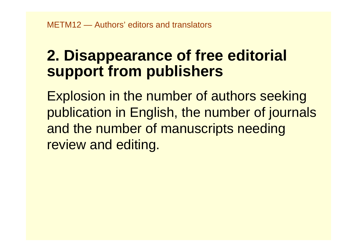### **2. Disappearance of free editorial support from publishers**

Explosion in the number of authors seeking publication in English, the number of journals and the number of manuscripts needing review and editing.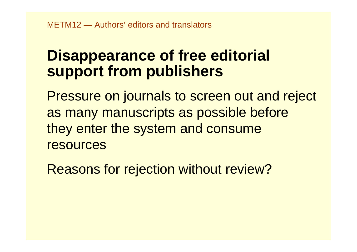### **Disappearance of free editorial support from publishers**

Pressure on journals to screen out and reject as many manuscripts as possible before they enter the system and consume resources

Reasons for rejection without review?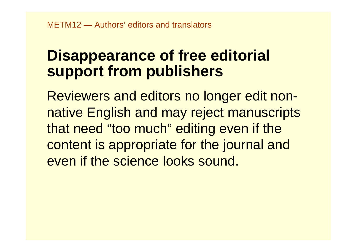### **Disappearance of free editorial support from publishers**

Reviewers and editors no longer edit nonnative English and may reject manuscripts that need "too much" editing even if the content is appropriate for the journal and even if the science looks sound.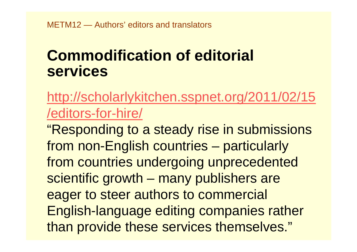[http://scholarlykitchen.sspnet.org/2011/02/15](http://scholarlykitchen.sspnet.org/2011/02/15/editors-for-hire/)  [/editors-for-hire/](http://scholarlykitchen.sspnet.org/2011/02/15/editors-for-hire/)

"Responding to a steady rise in submissions from non-English countries – particularly from countries undergoing unprecedented scientific growth – many publishers are eager to steer authors to commercial English-language editing companies rather than provide these services themselves."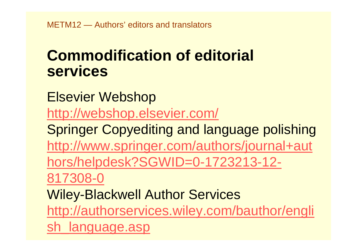Elsevier Webshop <http://webshop.elsevier.com/> Springer Copyediting and language polishing [http://www.springer.com/authors/journal+aut](http://www.springer.com/authors/journal+authors/helpdesk?SGWID=0-1723213-12-817308-0)  [hors/helpdesk?SGWID=0-1723213-12-](http://www.springer.com/authors/journal+authors/helpdesk?SGWID=0-1723213-12-817308-0)  [817308-0](http://www.springer.com/authors/journal+authors/helpdesk?SGWID=0-1723213-12-817308-0) Wiley-Blackwell Author Services [http://authorservices.wiley.com/bauthor/engli](http://authorservices.wiley.com/bauthor/english_language.asp)  language.asp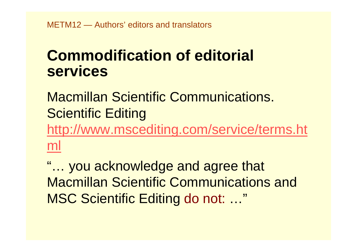### Macmillan Scientific Communications. Scientific Editing

[http://www.mscediting.com/service/terms.ht](http://www.mscediting.com/service/terms.html)  [ml](http://www.mscediting.com/service/terms.html)

"… you acknowledge and agree that Macmillan Scientific Communications and MSC Scientific Editing do not: …"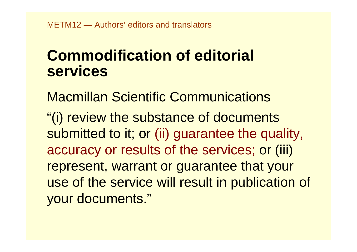Macmillan Scientific Communications "(i) review the substance of documents submitted to it; or (ii) guarantee the quality, accuracy or results of the services; or (iii) represent, warrant or guarantee that your use of the service will result in publication of your documents."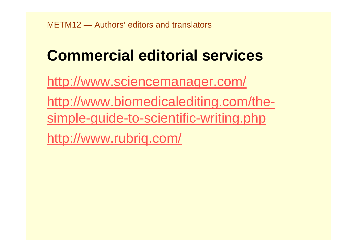<http://www.sciencemanager.com/>

[http://www.biomedicalediting.com/the](http://www.biomedicalediting.com/the-simple-guide-to-scientific-writing.php)[simple-guide-to-scientific-writing.php](http://www.biomedicalediting.com/the-simple-guide-to-scientific-writing.php)

<http://www.rubriq.com/>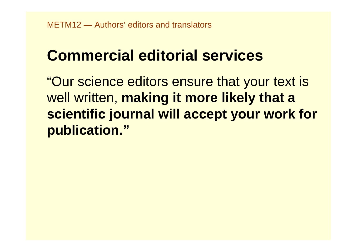"Our science editors ensure that your text is well written, **making it more likely that a scientific journal will accept your work for publication."**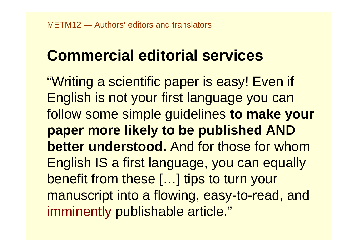"Writing a scientific paper is easy! Even if English is not your first language you can follow some simple guidelines **to make your paper more likely to be published AND better understood.** And for those for whom English IS a first language, you can equally benefit from these […] tips to turn your manuscript into a flowing, easy-to-read, and imminently publishable article."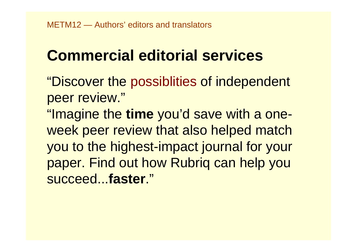"Discover the possiblities of independent peer review."

"Imagine the **time** you'd save with a oneweek peer review that also helped match you to the highest-impact journal for your paper. Find out how Rubriq can help you succeed...**faster**."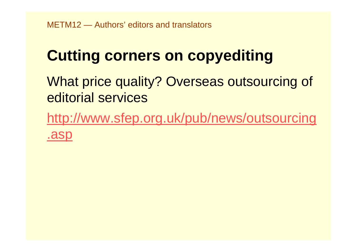# **Cutting corners on copyediting**

What price quality? Overseas outsourcing of editorial services

[http://www.sfep.org.uk/pub/news/outsourcing](http://www.sfep.org.uk/pub/news/outsourcing.asp)  [.asp](http://www.sfep.org.uk/pub/news/outsourcing.asp)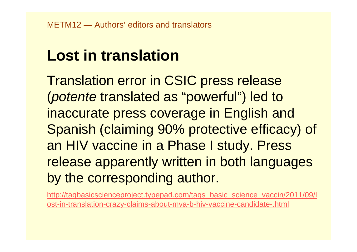# **Lost in translation**

Translation error in CSIC press release (*potente* translated as "powerful") led to inaccurate press coverage in English and Spanish (claiming 90% protective efficacy) of an HIV vaccine in a Phase I study. Press release apparently written in both languages by the corresponding author.

http://tagbasicscienceproject.typepad.com/tags\_basic\_science\_vaccin/2011/09/l [ost-in-translation-crazy-claims-about-mva-b-hiv-vaccine-candidate-.html](http://tagbasicscienceproject.typepad.com/tags_basic_science_vaccin/2011/09/lost-in-translation-crazy-claims-about-mva-b-hiv-vaccine-candidate-.html)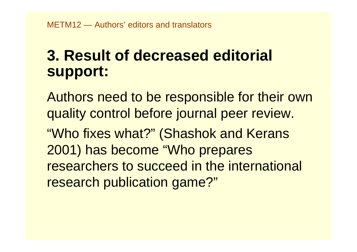## **3. Result of decreased editorial support:**

Authors need to be responsible for their own quality control before journal peer review.

"Who fixes what?" (Shashok and Kerans 2001) has become "Who prepares researchers to succeed in the international research publication game?"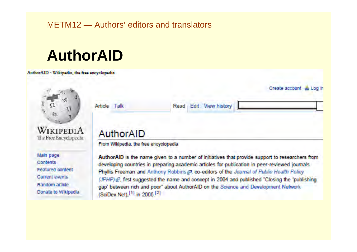#### METM12 — Authors' editors and translators

## **AuthorAID**

AuthorAID - Wikipedia, the free encyclopedia



Featured content **Current events** Random article Donate to Wikipedia

developing countries in preparing academic articles for publication in peer-reviewed journals. Phyllis Freeman and Anthony Robbins @, co-editors of the Journal of Public Health Policy (JPHP)  $\mathcal{P}$ , first suggested the name and concept in 2004 and published "Closing the 'publishing gap' between rich and poor" about AuthorAID on the Science and Development Network (SciDev.Net), [1] in 2005.<sup>[2]</sup>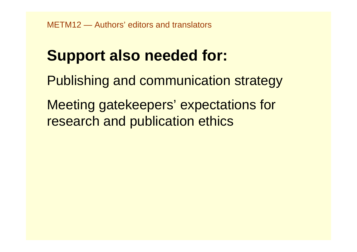# **Support also needed for:**

- Publishing and communication strategy
- Meeting gatekeepers' expectations for research and publication ethics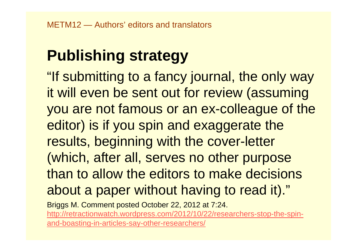# **Publishing strategy**

"If submitting to a fancy journal, the only way it will even be sent out for review (assuming you are not famous or an ex-colleague of the editor) is if you spin and exaggerate the results, beginning with the cover-letter (which, after all, serves no other purpose than to allow the editors to make decisions about a paper without having to read it)."

Briggs M. Comment posted October 22, 2012 at 7:24. [http://retractionwatch.wordpress.com/2012/10/22/researchers-stop-the-spin](http://retractionwatch.wordpress.com/2012/10/22/researchers-stop-the-spin-and-boasting-in-articles-say-other-researchers/)[and-boasting-in-articles-say-other-researchers/](http://retractionwatch.wordpress.com/2012/10/22/researchers-stop-the-spin-and-boasting-in-articles-say-other-researchers/)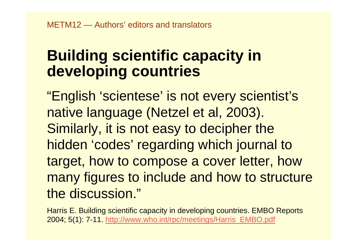## **Building scientific capacity in developing countries**

"English 'scientese' is not every scientist's native language (Netzel et al, 2003). Similarly, it is not easy to decipher the hidden 'codes' regarding which journal to target, how to compose a cover letter, how many figures to include and how to structure the discussion."

Harris E. Building scientific capacity in developing countries. EMBO Reports 2004; 5(1): 7-11[. http://www.who.int/rpc/meetings/Harris\\_EMBO.pdf](http://www.who.int/rpc/meetings/Harris_EMBO.pdf)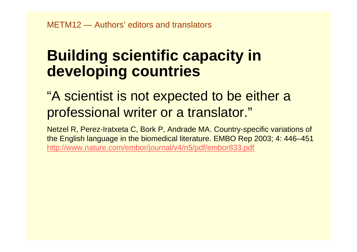## **Building scientific capacity in developing countries**

### "A scientist is not expected to be either a professional writer or a translator."

Netzel R, Perez-Iratxeta C, Bork P, Andrade MA. Country-specific variations of the English language in the biomedical literature. EMBO Rep 2003; 4: 446–451 <http://www.nature.com/embor/journal/v4/n5/pdf/embor833.pdf>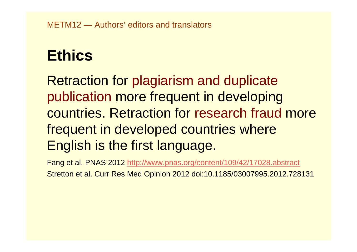METM12 — Authors' editors and translators

## **Ethics**

Retraction for plagiarism and duplicate publication more frequent in developing countries. Retraction for research fraud more frequent in developed countries where English is the first language.

Fang et al. PNAS 201[2 http://www.pnas.org/content/109/42/17028.abstract](http://www.pnas.org/content/109/42/17028.abstract) Stretton et al. Curr Res Med Opinion 2012 doi:10.1185/03007995.2012.728131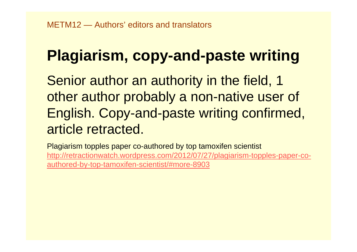# **Plagiarism, copy-and-paste writing**

Senior author an authority in the field, 1 other author probably a non-native user of English. Copy-and-paste writing confirmed, article retracted.

Plagiarism topples paper co-authored by top tamoxifen scientist [http://retractionwatch.wordpress.com/2012/07/27/plagiarism-topples-paper-co](http://retractionwatch.wordpress.com/2012/07/27/plagiarism-topples-paper-co-authored-by-top-tamoxifen-scientist/#more-8903)[authored-by-top-tamoxifen-scientist/#more-8903](http://retractionwatch.wordpress.com/2012/07/27/plagiarism-topples-paper-co-authored-by-top-tamoxifen-scientist/#more-8903)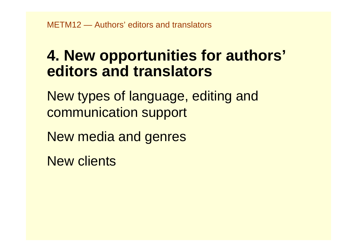### **4. New opportunities for authors' editors and translators**

New types of language, editing and communication support

New media and genres

New clients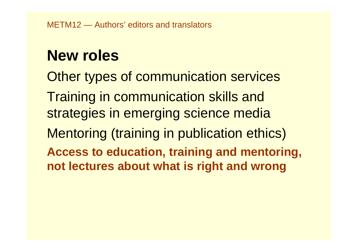## **New roles**

Other types of communication services Training in communication skills and strategies in emerging science media Mentoring (training in publication ethics) **Access to education, training and mentoring, not lectures about what is right and wrong**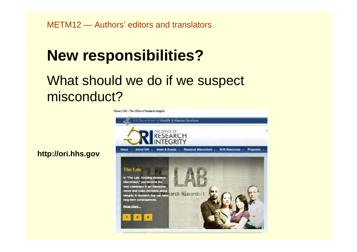## **New responsibilities?**

### What should we do if we suspect misconduct?



#### **http://ori.hhs.gov**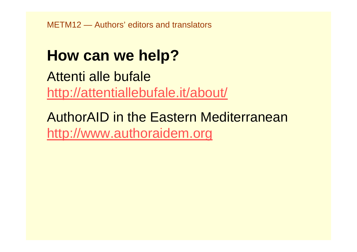METM12 — Authors' editors and translators

### **How can we help?**

Attenti alle bufale<http://attentiallebufale.it/about/>

AuthorAID in the Eastern Mediterranean[http://www.authoraidem.org](http://www.authoraidem.org/)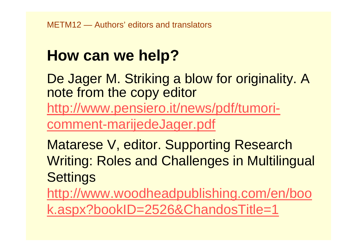## **How can we help?**

De Jager M. Striking a blow for originality. A note from the copy editor [http://www.pensiero.it/news/pdf/tumori](http://www.pensiero.it/news/pdf/tumori-comment-marijedeJager.pdf)[comment-marijedeJager.pdf](http://www.pensiero.it/news/pdf/tumori-comment-marijedeJager.pdf)

Matarese V, editor. Supporting Research Writing: Roles and Challenges in Multilingual **Settings** 

[http://www.woodheadpublishing.com/en/boo](http://www.woodheadpublishing.com/en/book.aspx?bookID=2526&ChandosTitle=1)  [k.aspx?bookID=2526&ChandosTitle=1](http://www.woodheadpublishing.com/en/book.aspx?bookID=2526&ChandosTitle=1)